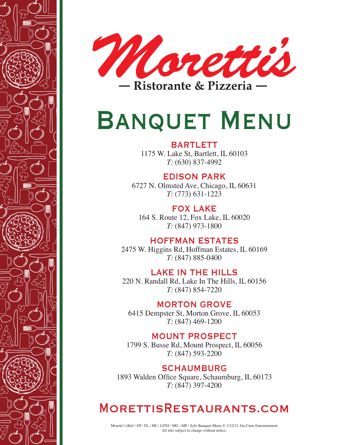



# BANQUET MENU

# **BARTLETT**

1175 W. Lake St, Bartlett, IL 60103 *T:* (630) 837-4992

# EDISON PARK

6727 N. Olmsted Ave, Chicago, IL 60631 *T:* (773) 631-1223

FOX LAKE 164 S. Route 12, Fox Lake, IL 60020 *T:* (847) 973-1800

# HOFFMAN ESTATES

2475 W. Higgins Rd, Hoffman Estates, IL 60169 *T:* (847) 885-0400

# LAKE IN THE HILLS

220 N. Randall Rd, Lake In The Hills, IL 60156 *T:* (847) 854-7220

# MORTON GROVE

6415 Dempster St, Morton Grove, IL 60053 *T:* (847) 469-1200

# MOUNT PROSPECT

1799 S. Busse Rd, Mount Prospect, IL 60056 *T:* (847) 593-2200

SCHAUMBURG 1893 Walden Office Square, Schaumburg, IL 60173 *T:* (847) 397-4200

# MORETTISRESTAURANTS.COM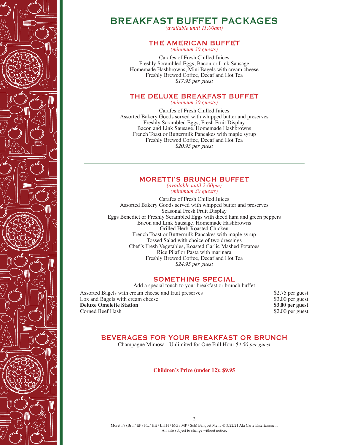

# BREAKFAST BUFFET PACKAGES

*(available until 11:00am)*

### THE AMERICAN BUFFET

*(minimum 30 guests)*

Carafes of Fresh Chilled Juices Freshly Scrambled Eggs, Bacon or Link Sausage Homemade Hashbrowns, Mini Bagels with cream cheese Freshly Brewed Coffee, Decaf and Hot Tea *\$17.95 per guest*

# THE DELUXE BREAKFAST BUFFET

*(minimum 30 guests)*

Carafes of Fresh Chilled Juices Assorted Bakery Goods served with whipped butter and preserves Freshly Scrambled Eggs, Fresh Fruit Display Bacon and Link Sausage, Homemade Hashbrowns French Toast or Buttermilk Pancakes with maple syrup Freshly Brewed Coffee, Decaf and Hot Tea *\$20.95 per guest*

#### MORETTI'S BRUNCH BUFFET *(available until 2:00pm)*

*(minimum 30 guests)*

Carafes of Fresh Chilled Juices Assorted Bakery Goods served with whipped butter and preserves Seasonal Fresh Fruit Display Eggs Benedict or Freshly Scrambled Eggs with diced ham and green peppers Bacon and Link Sausage, Homemade Hashbrowns Grilled Herb-Roasted Chicken French Toast or Buttermilk Pancakes with maple syrup Tossed Salad with choice of two dressings Chef's Fresh Vegetables, Roasted Garlic Mashed Potatoes Rice Pilaf or Pasta with marinara Freshly Brewed Coffee, Decaf and Hot Tea *\$24.95 per guest*

### SOMETHING SPECIAL

Add a special touch to your breakfast or brunch buffet Assorted Bagels with cream cheese and fruit preserves \$2.75 per guest Lox and Bagels with cream cheese \$3.00 per guest<br> **Deluxe Omelette Station** \$3.00 per guest **Deluxe Omelette Station** Corned Beef Hash  $\frac{1}{2.00}$  per guest

## BEVERAGES FOR YOUR BREAKFAST OR BRUNCH

Champagne Mimosa - Unlimited for One Full Hour *\$4.50 per guest*

**Children's Price (under 12): \$9.95**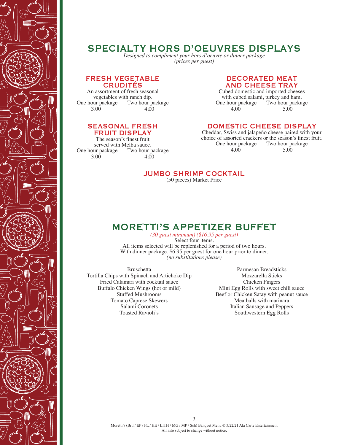

# SPECIALTY HORS D'OEUVRES DISPLAYS

*Designed to compliment your hors d'oeuvre or dinner package (prices per guest)*

#### FRESH VEGETABLE CRUDITÉS

An assortment of fresh seasonal vegetables with ranch dip.<br>One hour package Two hour pa Two hour package  $4.00$  $3.00.$ 

### SEASONAL FRESH FRUIT DISPLAY

The season's finest fruit served with Melba sauce.<br>One hour package Two hour p Two hour package  $4.00$  $3.00.$ 

### DECORATED MEAT AND CHEESE TRAY

Cubed domestic and imported cheeses with cubed salami, turkey and ham.<br>One hour package Two hour package our package Two hour package<br>4.00 5.00 4.00 5.00

### DOMESTIC CHEESE DISPLAY

Cheddar, Swiss and jalapeño cheese paired with your choice of assorted crackers or the season's finest fruit.<br>One hour package Two hour package One hour package 4.00 5.00

### JUMBO SHRIMP COCKTAIL

(50 pieces) Market Price

# MORETTI'S APPETIZER BUFFET

*(30 guest minimum) (\$16.95 per guest)* Select four items. All items selected will be replenished for a period of two hours. With dinner package, \$6.95 per guest for one hour prior to dinner. *(no substitutions please)*

 Tortilla Chips with Spinach and Artichoke Dip Bruschetta Fried Calamari with cocktail sauce Buffalo Chicken Wings (hot or mild) Stuffed Mushrooms Tomato Caprese Skewers Salami Coronets Toasted Ravioli's

Parmesan Breadsticks Mozzarella Sticks Chicken Fingers Mini Egg Rolls with sweet chili sauce Beef or Chicken Satay with peanut sauce Meatballs with marinara Italian Sausage and Peppers Southwestern Egg Rolls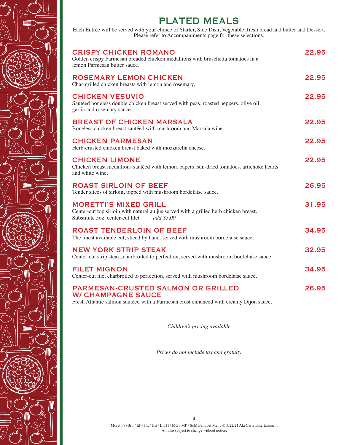

Each Entrée will be served with your choice of Starter, Side Dish, Vegetable, fresh bread and butter and Dessert. Please refer to Accompaniments page for these selections.

| <b>CRISPY CHICKEN ROMANO</b><br>Golden crispy Parmesan breaded chicken medallions with bruschetta tomatoes in a<br>lemon Parmesan butter sauce.                         | 22.95 |
|-------------------------------------------------------------------------------------------------------------------------------------------------------------------------|-------|
| <b>ROSEMARY LEMON CHICKEN</b><br>Char-grilled chicken breasts with lemon and rosemary.                                                                                  | 22.95 |
| <b>CHICKEN VESUVIO</b><br>Sautéed boneless double chicken breast served with peas, roasted peppers, olive oil,<br>garlic and rosemary sauce.                            | 22.95 |
| <b>BREAST OF CHICKEN MARSALA</b><br>Boneless chicken breast sautéed with mushroom and Marsala wine.                                                                     | 22.95 |
| <b>CHICKEN PARMESAN</b><br>Herb-crusted chicken breast baked with mozzarella cheese.                                                                                    | 22.95 |
| <b>CHICKEN LIMONE</b><br>Chicken breast medallions sautéed with lemon, capers, sun-dried tomatoes, artichoke hearts<br>and white wine.                                  | 22.95 |
| <b>ROAST SIRLOIN OF BEEF</b><br>Tender slices of sirloin, topped with mushroom bordelaise sauce.                                                                        | 26.95 |
| <b>MORETTI'S MIXED GRILL</b><br>Center-cut top sirloin with natural au jus served with a grilled herb chicken breast.<br>Substitute 5oz. center-cut filet<br>add \$5.00 | 31.95 |
| <b>ROAST TENDERLOIN OF BEEF</b><br>The finest available cut, sliced by hand, served with mushroom bordelaise sauce.                                                     | 34.95 |
| <b>NEW YORK STRIP STEAK</b><br>Center-cut strip steak, charbroiled to perfection, served with mushroom bordelaise sauce.                                                | 32.95 |
| <b>FILET MIGNON</b><br>Center-cut filet charbroiled to perfection, served with mushroom bordelaise sauce.                                                               | 34.95 |
| <b>PARMESAN-CRUSTED SALMON OR GRILLED</b><br><b>W/ CHAMPAGNE SAUCE</b><br>Fresh Atlantic salmon sautéed with a Parmesan crust enhanced with creamy Dijon sauce.         | 26.95 |
|                                                                                                                                                                         |       |

*Children's pricing available*

*Prices do not include tax and gratuity*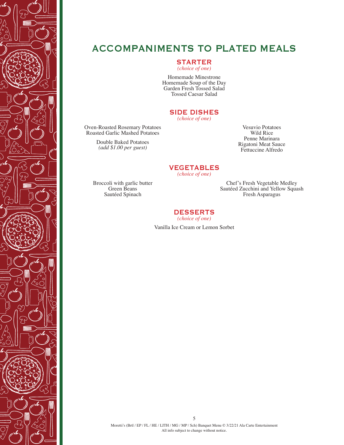

# ACCOMPANIMENTS TO PLATED MEALS

STARTER

*(choice of one)*

Homemade Minestrone Homemade Soup of the Day Garden Fresh Tossed Salad Tossed Caesar Salad

# SIDE DISHES

*(choice of one)*

Oven-Roasted Rosemary Potatoes Roasted Garlic Mashed Potatoes

> Double Baked Potatoes *(add \$1.00 per guest)*

#### Vesuvio Potatoes Wild Rice Penne Marinara Rigatoni Meat Sauce Fettuccine Alfredo

VEGETABLES *(choice of one)*

Broccoli with garlic butter Green Beans Sautéed Spinach

Chef's Fresh Vegetable Medley Sautéed Zucchini and Yellow Squash Fresh Asparagus

## DESSERTS

*(choice of one)*

Vanilla Ice Cream or Lemon Sorbet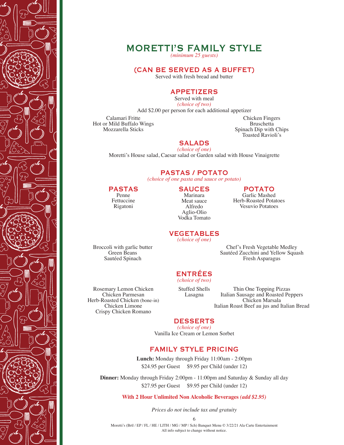

# MORETTI'S FAMILY STYLE

*(minimum 25 guests)*

#### (CAN BE SERVED AS A BUFFET)

Served with fresh bread and butter

### APPETIZERS

Served with meal *(choice of two)*

Add \$2.00 per person for each additional appetizer

Calamari Fritte Hot or Mild Buffalo Wings Mozzarella Sticks

Chicken Fingers Bruschetta Spinach Dip with Chips Toasted Ravioli's

#### SALADS *(choice of one)*

Moretti's House salad, Caesar salad or Garden salad with House Vinaigrette

PASTAS / POTATO

*(choice of one pasta and sauce or potato)*

#### PASTAS Penne

Fettuccine Rigatoni

#### **SAUCES** Marinara Meat sauce

Alfredo Aglio-Olio Vodka Tomato POTATO

Garlic Mashed Herb-Roasted Potatoes Vesuvio Potatoes

VEGETABLES *(choice of one)*

Broccoli with garlic butter Green Beans Sautéed Spinach

Rosemary Lemon Chicken Chicken Parmesan Herb-Roasted Chicken (bone-in) Chicken Limone Crispy Chicken Romano

*(choice of two)* Stuffed Shells Lasagna

ENTRÉES

Thin One Topping Pizzas Italian Sausage and Roasted Peppers Chicken Marsala Italian Roast Beef au jus and Italian Bread

Chef's Fresh Vegetable Medley Sautéed Zucchini and Yellow Squash Fresh Asparagus

### DESSERTS

*(choice of one)* Vanilla Ice Cream or Lemon Sorbet

### FAMILY STYLE PRICING

**Lunch:** Monday through Friday 11:00am - 2:00pm \$24.95 per Guest \$9.95 per Child (under 12)

**Dinner:** Monday through Friday 2:00pm - 11:00pm and Saturday & Sunday all day \$27.95 per Guest \$9.95 per Child (under 12)

**With 2 Hour Unlimited Non Alcoholic Beverages** *(add \$2.95)*

*Prices do not include tax and gratuity*

6

Moretti's (Brtl / EP / FL / HE / LITH / MG / MP / Sch) Banquet Menu © 3/22/21 Ala Carte Entertainment All info subject to change without notice.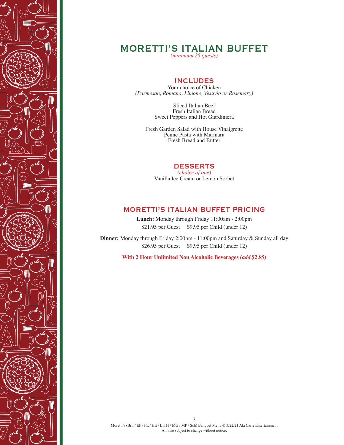

# MORETTI'S ITALIAN BUFFET

*(minimum 25 guests)*

### INCLUDES

Your choice of Chicken *(Parmesan, Romano, Limone, Vesuvio or Rosemary)*

> Sliced Italian Beef Fresh Italian Bread Sweet Peppers and Hot Giardiniera

Fresh Garden Salad with House Vinaigrette Penne Pasta with Marinara Fresh Bread and Butter

#### DESSERTS

*(choice of one)* Vanilla Ice Cream or Lemon Sorbet

### MORETTI'S ITALIAN BUFFET PRICING

**Lunch:** Monday through Friday 11:00am - 2:00pm \$21.95 per Guest \$9.95 per Child (under 12)

**Dinner:** Monday through Friday 2:00pm - 11:00pm and Saturday & Sunday all day \$26.95 per Guest \$9.95 per Child (under 12)

**With 2 Hour Unlimited Non Alcoholic Beverages** *(add \$2.95)*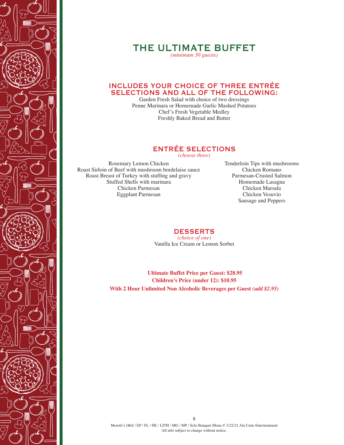

# THE ULTIMATE BUFFET

*(minimum 30 guests)*

### INCLUDES YOUR CHOICE OF THREE ENTRÉE SELECTIONS AND ALL OF THE FOLLOWING:

Garden Fresh Salad with choice of two dressings Penne Marinara or Homemade Garlic Mashed Potatoes Chef's Fresh Vegetable Medley Freshly Baked Bread and Butter

# ENTRÉE SELECTIONS

*(choose three)*

st Sirioin of Beef with mushroom borderaise sa<br>Roast Breast of Turkey with stuffing and gravy Rosemary Lemon Chicken Roast Sirloin of Beef with mushroom bordelaise sauce Stuffed Shells with marinara Chicken Parmesan Eggplant Parmesan

Tenderloin Tips with mushrooms Chicken Romano Parmesan-Crusted Salmon Homemade Lasagna Chicken Marsala Chicken Vesuvio Sausage and Peppers

#### **DESSERTS**

*(choice of one)* Vanilla Ice Cream or Lemon Sorbet

**Ultimate Buffet Price per Guest: \$28.95 Children's Price (under 12): \$10.95 With 2 Hour Unlimited Non Alcoholic Beverages per Guest** *(add \$2.95)*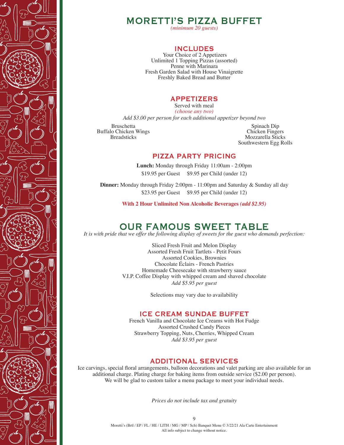



*(minimum 20 guests)*

### INCLUDES

Your Choice of 2 Appetizers Unlimited 1 Topping Pizzas (assorted) Penne with Marinara Fresh Garden Salad with House Vinaigrette Freshly Baked Bread and Butter

### APPETIZERS

Served with meal *(choose any two)*

*Add \$3.00 per person for each additional appetizer beyond two*

Bruschetta Buffalo Chicken Wings Breadsticks

Spinach Dip Chicken Fingers Mozzarella Sticks Southwestern Egg Rolls

### PIZZA PARTY PRICING

**Lunch:** Monday through Friday 11:00am - 2:00pm \$19.95 per Guest \$9.95 per Child (under 12)

**Dinner:** Monday through Friday 2:00pm - 11:00pm and Saturday & Sunday all day \$23.95 per Guest \$9.95 per Child (under 12)

**With 2 Hour Unlimited Non Alcoholic Beverages** *(add \$2.95)*

# OUR FAMOUS SWEET TABLE

*It is with pride that we offer the following display of sweets for the guest who demands perfection:*

Sliced Fresh Fruit and Melon Display Assorted Fresh Fruit Tartlets - Petit Fours Assorted Cookies, Brownies Chocolate Éclairs - French Pastries Homemade Cheesecake with strawberry sauce V.I.P. Coffee Display with whipped cream and shaved chocolate *Add \$5.95 per guest*

Selections may vary due to availability

#### ICE CREAM SUNDAE BUFFET

French Vanilla and Chocolate Ice Creams with Hot Fudge Assorted Crushed Candy Pieces Strawberry Topping, Nuts, Cherries, Whipped Cream *Add \$3.95 per guest*

### ADDITIONAL SERVICES

Ice carvings, special floral arrangements, balloon decorations and valet parking are also available for an additional charge. Plating charge for baking items from outside service (\$2.00 per person). We will be glad to custom tailor a menu package to meet your individual needs.

*Prices do not include tax and gratuity*

9

Moretti's (Brtl / EP / FL / HE / LITH / MG / MP / Sch) Banquet Menu © 3/22/21 Ala Carte Entertainment All info subject to change without notice.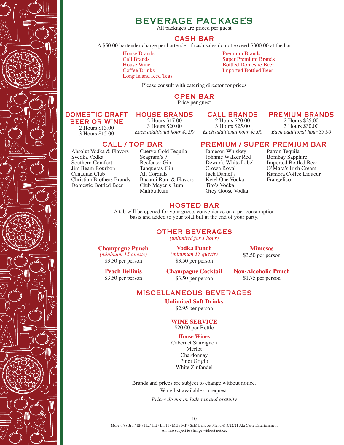

# BEVERAGE PACKAGES

All packages are priced per guest

### CASH BAR

A \$50.00 bartender charge per bartender if cash sales do not exceed \$300.00 at the bar

House Brands Call Brands House Wine Coffee Drinks Long Island Iced Teas Premium Brands Super Premium Brands Bottled Domestic Beer Imported Bottled Beer

Please consult with catering director for prices

#### OPEN BAR

Price per guest

#### DOMESTIC DRAFT BEER OR WINE

2 Hours \$13.00 3 Hours \$15.00

HOUSE BRANDS 2 Hours \$17.00 3 Hours \$20.00 *Each additional hour \$5.00*

### CALL BRANDS

2 Hours \$20.00 3 Hours \$25.00 *Each additional hour \$5.00*

### PREMIUM BRANDS

2 Hours \$25.00 3 Hours \$30.00 *Each additional hour \$5.00*

#### CALL / TOP BAR

Absolut Vodka & Flavors Svedka Vodka Southern Comfort Jim Beam Bourbon Canadian Club Christian Brothers Brandy Domestic Bottled Beer

Cuervo Gold Tequila Seagram's 7 Beefeater Gin Tanqueray Gin All Cordials Bacardi Rum & Flavors Club Meyer's Rum Malibu Rum

# PREMIUM / SUPER PREMIUM BAR

Jameson Whiskey Johnnie Walker Red Dewar's White Label Crown Royal Jack Daniel's Ketel One Vodka Tito's Vodka Grey Goose Vodka

Patron Tequila Bombay Sapphire Imported Bottled Beer O'Mara's Irish Cream Kamora Coffee Liqueur Frangelico

#### HOSTED BAR

A tab will be opened for your guests convenience on a per consumption basis and added to your total bill at the end of your party.

#### OTHER BEVERAGES

*(unlimited for 1 hour)*

**Champagne Punch** *(minimum 15 guests)* \$3.50 per person

**Vodka Punch** *(minimum 15 guests)* \$3.50 per person

**Mimosas** \$3.50 per person

**Peach Bellinis** \$3.50 per person **Champagne Cocktail** \$3.50 per person

**Non-Alcoholic Punch** \$1.75 per person

### MISCELLANEOUS BEVERAGES

**Unlimited Soft Drinks** \$2.95 per person

#### **WINE SERVICE** \$20.00 per Bottle

#### **House Wines**

Cabernet Sauvignon Merlot Chardonnay Pinot Grigio White Zinfandel

Brands and prices are subject to change without notice. Wine list available on request.

*Prices do not include tax and gratuity*

10

Moretti's (Brtl / EP / FL / HE / LITH / MG / MP / Sch) Banquet Menu © 3/22/21 Ala Carte Entertainment All info subject to change without notice.